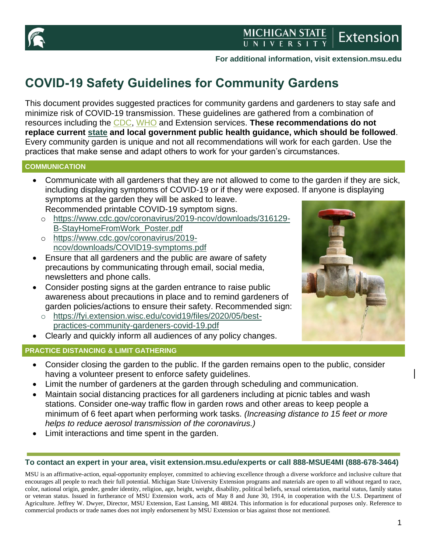

# MICHIGAN STATE<br>UNIVERSITY **Extension**

## **For additional information, visit extension.msu.edu**

# **COVID-19 Safety Guidelines for Community Gardens**

This document provides suggested practices for community gardens and gardeners to stay safe and minimize risk of COVID-19 transmission. These guidelines are gathered from a combination of resources including the [CDC,](https://www.cdc.gov/coronavirus/2019-ncov/index.html) [WHO](https://www.who.int/emergencies/diseases/novel-coronavirus-2019) and Extension services. **These recommendations do not replace current [state](https://www.michigan.gov/coronavirus/) and local government public health guidance, which should be followed**. Every community garden is unique and not all recommendations will work for each garden. Use the practices that make sense and adapt others to work for your garden's circumstances.

#### **COMMUNICATION**

- Communicate with all gardeners that they are not allowed to come to the garden if they are sick, including displaying symptoms of COVID-19 or if they were exposed. If anyone is displaying symptoms at the garden they will be asked to leave. Recommended printable COVID-19 symptom signs.
	- o [https://www.cdc.gov/coronavirus/2019-ncov/downloads/316129-](https://www.cdc.gov/coronavirus/2019-ncov/downloads/316129-B-StayHomeFromWork_Poster.pdf) [B-StayHomeFromWork\\_Poster.pdf](https://www.cdc.gov/coronavirus/2019-ncov/downloads/316129-B-StayHomeFromWork_Poster.pdf)
	- o [https://www.cdc.gov/coronavirus/2019](https://www.cdc.gov/coronavirus/2019-ncov/downloads/COVID19-symptoms.pdf) [ncov/downloads/COVID19-symptoms.pdf](https://www.cdc.gov/coronavirus/2019-ncov/downloads/COVID19-symptoms.pdf)
- Ensure that all gardeners and the public are aware of safety precautions by communicating through email, social media, newsletters and phone calls.
- Consider posting signs at the garden entrance to raise public awareness about precautions in place and to remind gardeners of garden policies/actions to ensure their safety. Recommended sign:
	- o [https://fyi.extension.wisc.edu/covid19/files/2020/05/best](https://fyi.extension.wisc.edu/covid19/files/2020/05/best-practices-community-gardeners-covid-19.pdf)[practices-community-gardeners-covid-19.pdf](https://fyi.extension.wisc.edu/covid19/files/2020/05/best-practices-community-gardeners-covid-19.pdf)
- Clearly and quickly inform all audiences of any policy changes.

### **PRACTICE DISTANCING & LIMIT GATHERING**



- Consider closing the garden to the public. If the garden remains open to the public, consider having a volunteer present to enforce safety guidelines.
- Limit the number of gardeners at the garden through scheduling and communication.
- Maintain social distancing practices for all gardeners including at picnic tables and wash stations. Consider one-way traffic flow in garden rows and other areas to keep people a minimum of 6 feet apart when performing work tasks. *(Increasing distance to 15 feet or more helps to reduce aerosol transmission of the coronavirus.)*
- Limit interactions and time spent in the garden.

### **To contact an expert in your area, visit extension.msu.edu/experts or call 888-MSUE4MI (888-678-3464)**

MSU is an affirmative-action, equal-opportunity employer, committed to achieving excellence through a diverse workforce and inclusive culture that encourages all people to reach their full potential. Michigan State University Extension programs and materials are open to all without regard to race, color, national origin, gender, gender identity, religion, age, height, weight, disability, political beliefs, sexual orientation, marital status, family status or veteran status. Issued in furtherance of MSU Extension work, acts of May 8 and June 30, 1914, in cooperation with the U.S. Department of Agriculture. Jeffrey W. Dwyer, Director, MSU Extension, East Lansing, MI 48824. This information is for educational purposes only. Reference to commercial products or trade names does not imply endorsement by MSU Extension or bias against those not mentioned.